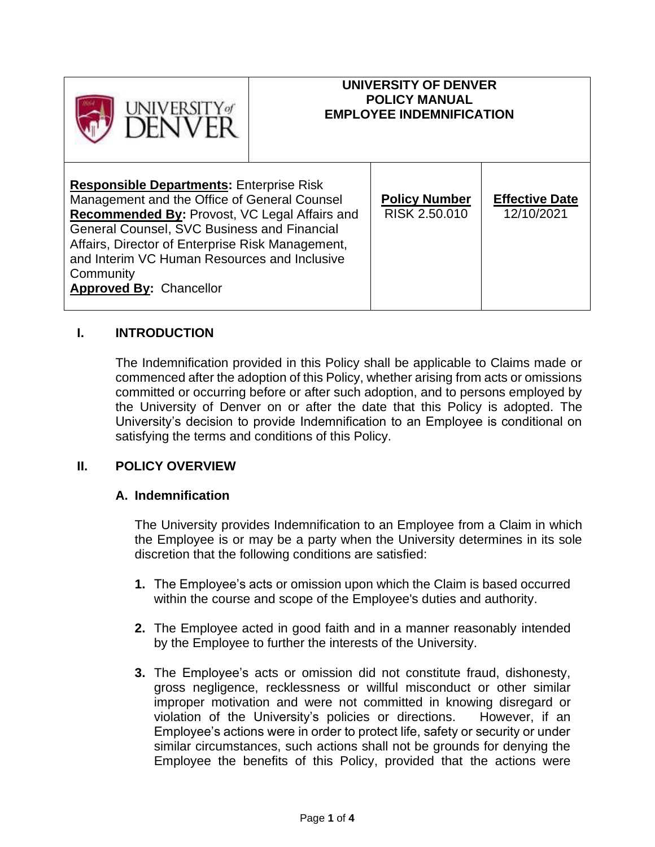| <b>DENIVEI</b>                                                                                                                                                                                                                                                                                                                                     | UNIVERSITY OF DENVER<br><b>POLICY MANUAL</b><br><b>EMPLOYEE INDEMNIFICATION</b> |                                       |                                     |
|----------------------------------------------------------------------------------------------------------------------------------------------------------------------------------------------------------------------------------------------------------------------------------------------------------------------------------------------------|---------------------------------------------------------------------------------|---------------------------------------|-------------------------------------|
| <b>Responsible Departments: Enterprise Risk</b><br>Management and the Office of General Counsel<br>Recommended By: Provost, VC Legal Affairs and<br>General Counsel, SVC Business and Financial<br>Affairs, Director of Enterprise Risk Management,<br>and Interim VC Human Resources and Inclusive<br>Community<br><b>Approved By: Chancellor</b> |                                                                                 | <b>Policy Number</b><br>RISK 2.50.010 | <b>Effective Date</b><br>12/10/2021 |

# **I. INTRODUCTION**

The Indemnification provided in this Policy shall be applicable to Claims made or commenced after the adoption of this Policy, whether arising from acts or omissions committed or occurring before or after such adoption, and to persons employed by the University of Denver on or after the date that this Policy is adopted. The University's decision to provide Indemnification to an Employee is conditional on satisfying the terms and conditions of this Policy.

### **II. POLICY OVERVIEW**

#### **A. Indemnification**

The University provides Indemnification to an Employee from a Claim in which the Employee is or may be a party when the University determines in its sole discretion that the following conditions are satisfied:

- **1.** The Employee's acts or omission upon which the Claim is based occurred within the course and scope of the Employee's duties and authority.
- **2.** The Employee acted in good faith and in a manner reasonably intended by the Employee to further the interests of the University.
- **3.** The Employee's acts or omission did not constitute fraud, dishonesty, gross negligence, recklessness or willful misconduct or other similar improper motivation and were not committed in knowing disregard or violation of the University's policies or directions. However, if an Employee's actions were in order to protect life, safety or security or under similar circumstances, such actions shall not be grounds for denying the Employee the benefits of this Policy, provided that the actions were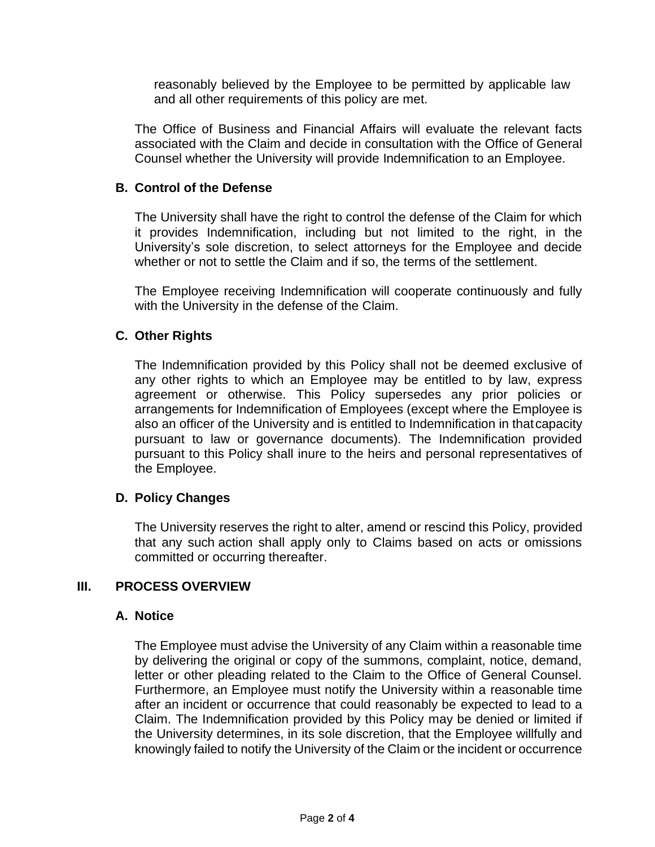reasonably believed by the Employee to be permitted by applicable law and all other requirements of this policy are met.

The Office of Business and Financial Affairs will evaluate the relevant facts associated with the Claim and decide in consultation with the Office of General Counsel whether the University will provide Indemnification to an Employee.

### **B. Control of the Defense**

The University shall have the right to control the defense of the Claim for which it provides Indemnification, including but not limited to the right, in the University's sole discretion, to select attorneys for the Employee and decide whether or not to settle the Claim and if so, the terms of the settlement.

The Employee receiving Indemnification will cooperate continuously and fully with the University in the defense of the Claim.

## **C. Other Rights**

The Indemnification provided by this Policy shall not be deemed exclusive of any other rights to which an Employee may be entitled to by law, express agreement or otherwise. This Policy supersedes any prior policies or arrangements for Indemnification of Employees (except where the Employee is also an officer of the University and is entitled to Indemnification in thatcapacity pursuant to law or governance documents). The Indemnification provided pursuant to this Policy shall inure to the heirs and personal representatives of the Employee.

## **D. Policy Changes**

The University reserves the right to alter, amend or rescind this Policy, provided that any such action shall apply only to Claims based on acts or omissions committed or occurring thereafter.

## **III. PROCESS OVERVIEW**

#### **A. Notice**

The Employee must advise the University of any Claim within a reasonable time by delivering the original or copy of the summons, complaint, notice, demand, letter or other pleading related to the Claim to the Office of General Counsel. Furthermore, an Employee must notify the University within a reasonable time after an incident or occurrence that could reasonably be expected to lead to a Claim. The Indemnification provided by this Policy may be denied or limited if the University determines, in its sole discretion, that the Employee willfully and knowingly failed to notify the University of the Claim or the incident or occurrence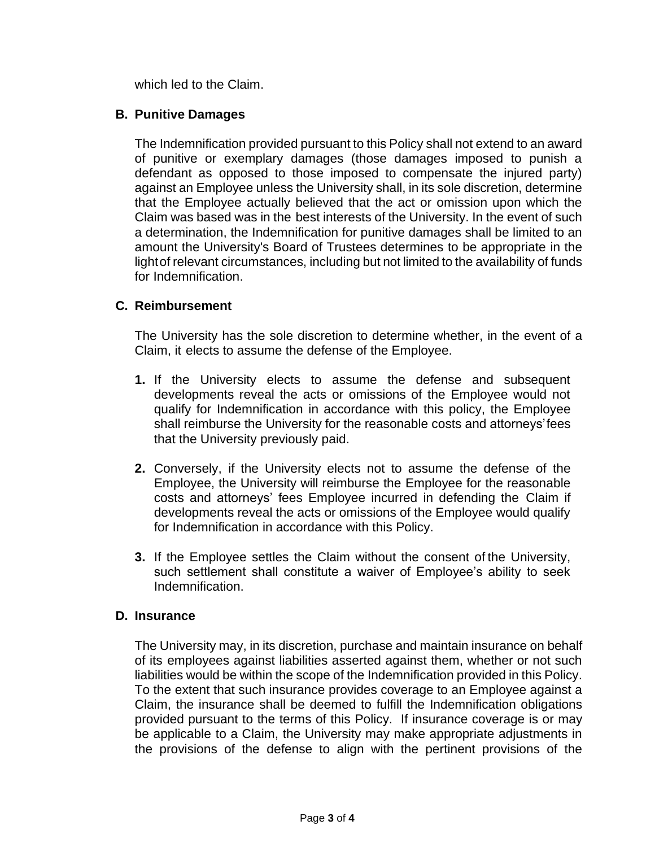which led to the Claim.

# **B. Punitive Damages**

The Indemnification provided pursuant to this Policy shall not extend to an award of punitive or exemplary damages (those damages imposed to punish a defendant as opposed to those imposed to compensate the injured party) against an Employee unless the University shall, in its sole discretion, determine that the Employee actually believed that the act or omission upon which the Claim was based was in the best interests of the University. In the event of such a determination, the Indemnification for punitive damages shall be limited to an amount the University's Board of Trustees determines to be appropriate in the lightof relevant circumstances, including but not limited to the availability of funds for Indemnification.

# **C. Reimbursement**

The University has the sole discretion to determine whether, in the event of a Claim, it elects to assume the defense of the Employee.

- **1.** If the University elects to assume the defense and subsequent developments reveal the acts or omissions of the Employee would not qualify for Indemnification in accordance with this policy, the Employee shall reimburse the University for the reasonable costs and attorneys'fees that the University previously paid.
- **2.** Conversely, if the University elects not to assume the defense of the Employee, the University will reimburse the Employee for the reasonable costs and attorneys' fees Employee incurred in defending the Claim if developments reveal the acts or omissions of the Employee would qualify for Indemnification in accordance with this Policy.
- **3.** If the Employee settles the Claim without the consent of the University, such settlement shall constitute a waiver of Employee's ability to seek Indemnification.

## **D. Insurance**

The University may, in its discretion, purchase and maintain insurance on behalf of its employees against liabilities asserted against them, whether or not such liabilities would be within the scope of the Indemnification provided in this Policy. To the extent that such insurance provides coverage to an Employee against a Claim, the insurance shall be deemed to fulfill the Indemnification obligations provided pursuant to the terms of this Policy. If insurance coverage is or may be applicable to a Claim, the University may make appropriate adjustments in the provisions of the defense to align with the pertinent provisions of the